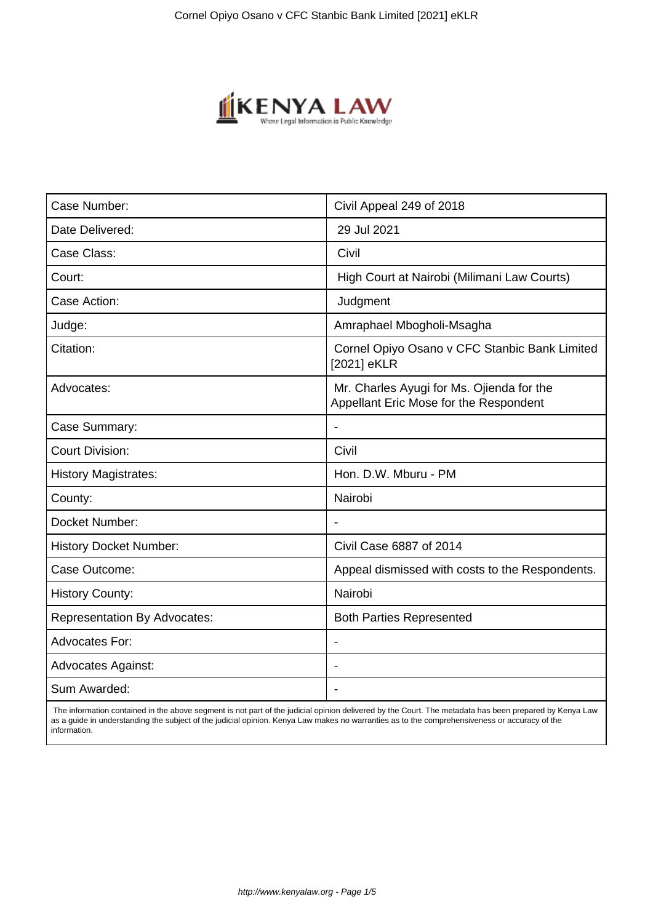

| Case Number:                        | Civil Appeal 249 of 2018                                                            |
|-------------------------------------|-------------------------------------------------------------------------------------|
| Date Delivered:                     | 29 Jul 2021                                                                         |
| Case Class:                         | Civil                                                                               |
| Court:                              | High Court at Nairobi (Milimani Law Courts)                                         |
| Case Action:                        | Judgment                                                                            |
| Judge:                              | Amraphael Mbogholi-Msagha                                                           |
| Citation:                           | Cornel Opiyo Osano v CFC Stanbic Bank Limited<br>[2021] eKLR                        |
| Advocates:                          | Mr. Charles Ayugi for Ms. Ojienda for the<br>Appellant Eric Mose for the Respondent |
| Case Summary:                       | $\blacksquare$                                                                      |
| <b>Court Division:</b>              | Civil                                                                               |
| <b>History Magistrates:</b>         | Hon. D.W. Mburu - PM                                                                |
| County:                             | Nairobi                                                                             |
| Docket Number:                      | $\overline{\phantom{a}}$                                                            |
| <b>History Docket Number:</b>       | Civil Case 6887 of 2014                                                             |
| Case Outcome:                       | Appeal dismissed with costs to the Respondents.                                     |
| <b>History County:</b>              | Nairobi                                                                             |
| <b>Representation By Advocates:</b> | <b>Both Parties Represented</b>                                                     |
| <b>Advocates For:</b>               |                                                                                     |
| <b>Advocates Against:</b>           |                                                                                     |
| Sum Awarded:                        |                                                                                     |

 The information contained in the above segment is not part of the judicial opinion delivered by the Court. The metadata has been prepared by Kenya Law as a guide in understanding the subject of the judicial opinion. Kenya Law makes no warranties as to the comprehensiveness or accuracy of the information.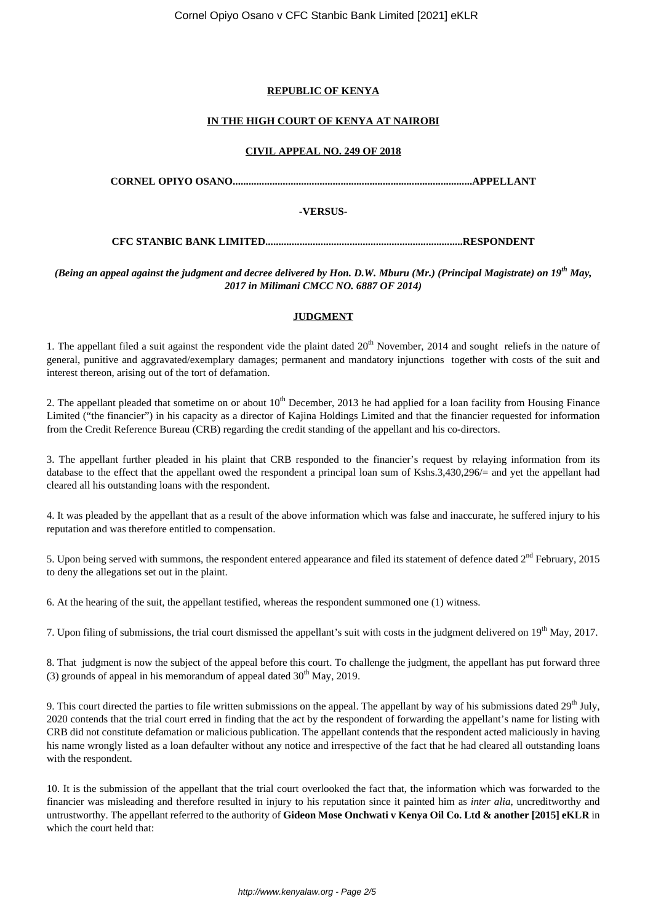## **REPUBLIC OF KENYA**

## **IN THE HIGH COURT OF KENYA AT NAIROBI**

#### **CIVIL APPEAL NO. 249 OF 2018**

**CORNEL OPIYO OSANO...........................................................................................APPELLANT**

## **-VERSUS-**

**CFC STANBIC BANK LIMITED...........................................................................RESPONDENT**

*(Being an appeal against the judgment and decree delivered by Hon. D.W. Mburu (Mr.) (Principal Magistrate) on 19th May, 2017 in Milimani CMCC NO. 6887 OF 2014)*

# **JUDGMENT**

1. The appellant filed a suit against the respondent vide the plaint dated 20<sup>th</sup> November, 2014 and sought reliefs in the nature of general, punitive and aggravated/exemplary damages; permanent and mandatory injunctions together with costs of the suit and interest thereon, arising out of the tort of defamation.

2. The appellant pleaded that sometime on or about  $10^{th}$  December, 2013 he had applied for a loan facility from Housing Finance Limited ("the financier") in his capacity as a director of Kajina Holdings Limited and that the financier requested for information from the Credit Reference Bureau (CRB) regarding the credit standing of the appellant and his co-directors.

3. The appellant further pleaded in his plaint that CRB responded to the financier's request by relaying information from its database to the effect that the appellant owed the respondent a principal loan sum of Kshs.3,430,296/= and yet the appellant had cleared all his outstanding loans with the respondent.

4. It was pleaded by the appellant that as a result of the above information which was false and inaccurate, he suffered injury to his reputation and was therefore entitled to compensation.

5. Upon being served with summons, the respondent entered appearance and filed its statement of defence dated  $2<sup>nd</sup>$  February, 2015 to deny the allegations set out in the plaint.

6. At the hearing of the suit, the appellant testified, whereas the respondent summoned one (1) witness.

7. Upon filing of submissions, the trial court dismissed the appellant's suit with costs in the judgment delivered on  $19<sup>th</sup>$  May, 2017.

8. That judgment is now the subject of the appeal before this court. To challenge the judgment, the appellant has put forward three (3) grounds of appeal in his memorandum of appeal dated  $30<sup>th</sup>$  May, 2019.

9. This court directed the parties to file written submissions on the appeal. The appellant by way of his submissions dated  $29<sup>th</sup>$  July, 2020 contends that the trial court erred in finding that the act by the respondent of forwarding the appellant's name for listing with CRB did not constitute defamation or malicious publication. The appellant contends that the respondent acted maliciously in having his name wrongly listed as a loan defaulter without any notice and irrespective of the fact that he had cleared all outstanding loans with the respondent.

10. It is the submission of the appellant that the trial court overlooked the fact that, the information which was forwarded to the financier was misleading and therefore resulted in injury to his reputation since it painted him as *inter alia*, uncreditworthy and untrustworthy. The appellant referred to the authority of **Gideon Mose Onchwati v Kenya Oil Co. Ltd & another [2015] eKLR** in which the court held that: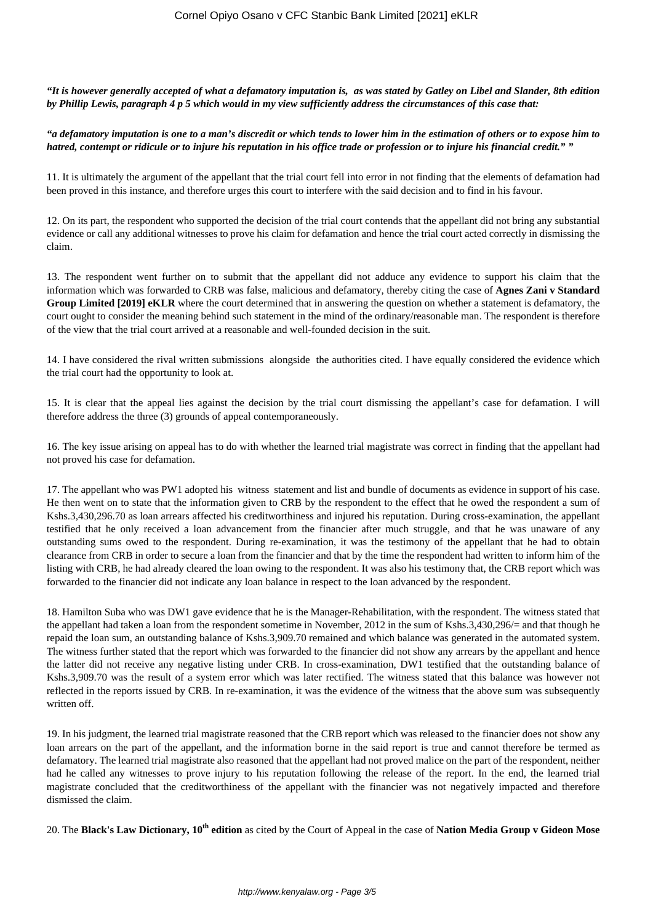*"It is however generally accepted of what a defamatory imputation is, as was stated by Gatley on Libel and Slander, 8th edition by Phillip Lewis, paragraph 4 p 5 which would in my view sufficiently address the circumstances of this case that:*

#### *"a defamatory imputation is one to a man's discredit or which tends to lower him in the estimation of others or to expose him to hatred, contempt or ridicule or to injure his reputation in his office trade or profession or to injure his financial credit." "*

11. It is ultimately the argument of the appellant that the trial court fell into error in not finding that the elements of defamation had been proved in this instance, and therefore urges this court to interfere with the said decision and to find in his favour.

12. On its part, the respondent who supported the decision of the trial court contends that the appellant did not bring any substantial evidence or call any additional witnesses to prove his claim for defamation and hence the trial court acted correctly in dismissing the claim.

13. The respondent went further on to submit that the appellant did not adduce any evidence to support his claim that the information which was forwarded to CRB was false, malicious and defamatory, thereby citing the case of **Agnes Zani v Standard Group Limited [2019] eKLR** where the court determined that in answering the question on whether a statement is defamatory, the court ought to consider the meaning behind such statement in the mind of the ordinary/reasonable man. The respondent is therefore of the view that the trial court arrived at a reasonable and well-founded decision in the suit.

14. I have considered the rival written submissions alongside the authorities cited. I have equally considered the evidence which the trial court had the opportunity to look at.

15. It is clear that the appeal lies against the decision by the trial court dismissing the appellant's case for defamation. I will therefore address the three (3) grounds of appeal contemporaneously.

16. The key issue arising on appeal has to do with whether the learned trial magistrate was correct in finding that the appellant had not proved his case for defamation.

17. The appellant who was PW1 adopted his witness statement and list and bundle of documents as evidence in support of his case. He then went on to state that the information given to CRB by the respondent to the effect that he owed the respondent a sum of Kshs.3,430,296.70 as loan arrears affected his creditworthiness and injured his reputation. During cross-examination, the appellant testified that he only received a loan advancement from the financier after much struggle, and that he was unaware of any outstanding sums owed to the respondent. During re-examination, it was the testimony of the appellant that he had to obtain clearance from CRB in order to secure a loan from the financier and that by the time the respondent had written to inform him of the listing with CRB, he had already cleared the loan owing to the respondent. It was also his testimony that, the CRB report which was forwarded to the financier did not indicate any loan balance in respect to the loan advanced by the respondent.

18. Hamilton Suba who was DW1 gave evidence that he is the Manager-Rehabilitation, with the respondent. The witness stated that the appellant had taken a loan from the respondent sometime in November, 2012 in the sum of Kshs.3,430,296/= and that though he repaid the loan sum, an outstanding balance of Kshs.3,909.70 remained and which balance was generated in the automated system. The witness further stated that the report which was forwarded to the financier did not show any arrears by the appellant and hence the latter did not receive any negative listing under CRB. In cross-examination, DW1 testified that the outstanding balance of Kshs.3,909.70 was the result of a system error which was later rectified. The witness stated that this balance was however not reflected in the reports issued by CRB. In re-examination, it was the evidence of the witness that the above sum was subsequently written off.

19. In his judgment, the learned trial magistrate reasoned that the CRB report which was released to the financier does not show any loan arrears on the part of the appellant, and the information borne in the said report is true and cannot therefore be termed as defamatory. The learned trial magistrate also reasoned that the appellant had not proved malice on the part of the respondent, neither had he called any witnesses to prove injury to his reputation following the release of the report. In the end, the learned trial magistrate concluded that the creditworthiness of the appellant with the financier was not negatively impacted and therefore dismissed the claim.

20. The **Black's Law Dictionary, 10th edition** as cited by the Court of Appeal in the case of **Nation Media Group v Gideon Mose**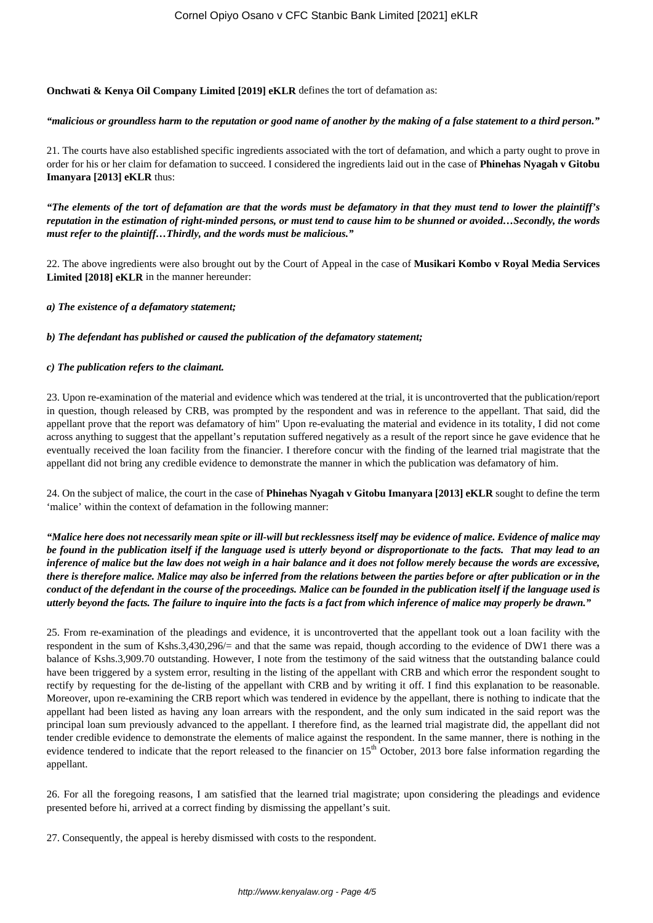**Onchwati & Kenya Oil Company Limited [2019] eKLR** defines the tort of defamation as:

#### *"malicious or groundless harm to the reputation or good name of another by the making of a false statement to a third person."*

21. The courts have also established specific ingredients associated with the tort of defamation, and which a party ought to prove in order for his or her claim for defamation to succeed. I considered the ingredients laid out in the case of **Phinehas Nyagah v Gitobu Imanyara [2013] eKLR** thus:

*"The elements of the tort of defamation are that the words must be defamatory in that they must tend to lower the plaintiff's reputation in the estimation of right-minded persons, or must tend to cause him to be shunned or avoided…Secondly, the words must refer to the plaintiff…Thirdly, and the words must be malicious."*

22. The above ingredients were also brought out by the Court of Appeal in the case of **Musikari Kombo v Royal Media Services Limited [2018] eKLR** in the manner hereunder:

*a) The existence of a defamatory statement;*

## *b) The defendant has published or caused the publication of the defamatory statement;*

## *c) The publication refers to the claimant.*

23. Upon re-examination of the material and evidence which was tendered at the trial, it is uncontroverted that the publication/report in question, though released by CRB, was prompted by the respondent and was in reference to the appellant. That said, did the appellant prove that the report was defamatory of him" Upon re-evaluating the material and evidence in its totality, I did not come across anything to suggest that the appellant's reputation suffered negatively as a result of the report since he gave evidence that he eventually received the loan facility from the financier. I therefore concur with the finding of the learned trial magistrate that the appellant did not bring any credible evidence to demonstrate the manner in which the publication was defamatory of him.

24. On the subject of malice, the court in the case of **Phinehas Nyagah v Gitobu Imanyara [2013] eKLR** sought to define the term 'malice' within the context of defamation in the following manner:

*"Malice here does not necessarily mean spite or ill-will but recklessness itself may be evidence of malice. Evidence of malice may be found in the publication itself if the language used is utterly beyond or disproportionate to the facts. That may lead to an inference of malice but the law does not weigh in a hair balance and it does not follow merely because the words are excessive, there is therefore malice. Malice may also be inferred from the relations between the parties before or after publication or in the conduct of the defendant in the course of the proceedings. Malice can be founded in the publication itself if the language used is utterly beyond the facts. The failure to inquire into the facts is a fact from which inference of malice may properly be drawn."*

25. From re-examination of the pleadings and evidence, it is uncontroverted that the appellant took out a loan facility with the respondent in the sum of Kshs.3,430,296/= and that the same was repaid, though according to the evidence of DW1 there was a balance of Kshs.3,909.70 outstanding. However, I note from the testimony of the said witness that the outstanding balance could have been triggered by a system error, resulting in the listing of the appellant with CRB and which error the respondent sought to rectify by requesting for the de-listing of the appellant with CRB and by writing it off. I find this explanation to be reasonable. Moreover, upon re-examining the CRB report which was tendered in evidence by the appellant, there is nothing to indicate that the appellant had been listed as having any loan arrears with the respondent, and the only sum indicated in the said report was the principal loan sum previously advanced to the appellant. I therefore find, as the learned trial magistrate did, the appellant did not tender credible evidence to demonstrate the elements of malice against the respondent. In the same manner, there is nothing in the evidence tendered to indicate that the report released to the financier on  $15<sup>th</sup>$  October, 2013 bore false information regarding the appellant.

26. For all the foregoing reasons, I am satisfied that the learned trial magistrate; upon considering the pleadings and evidence presented before hi, arrived at a correct finding by dismissing the appellant's suit.

27. Consequently, the appeal is hereby dismissed with costs to the respondent.